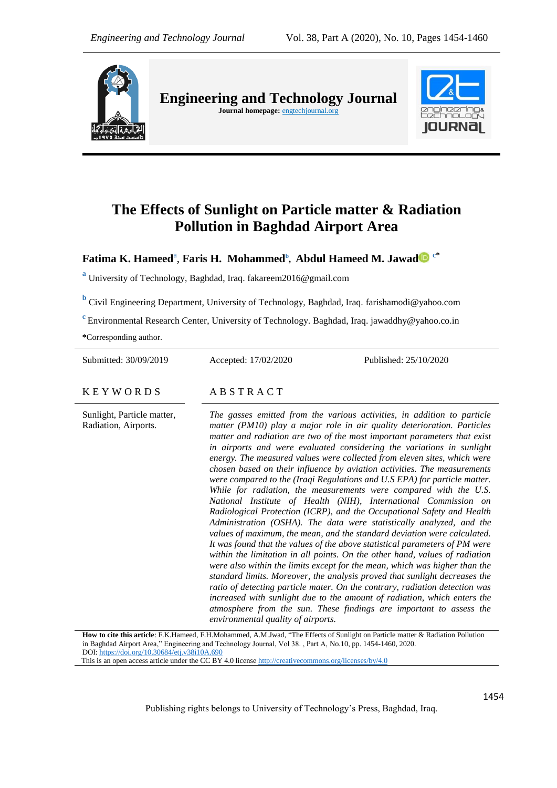

**Engineering and Technology Journal Journal homepage:** engtechjournal.org



# **The Effects of Sunlight on Particle matter & Radiation Pollution in Baghdad Airport Area**

# $\mathbf{F}$ atima K. Hameed<sup>a</sup>, Faris H. Mohammed<sup>b</sup>, Abdul Hameed M. Jawad $\mathbf{D} \stackrel{\mathrm{c}^*}{=}$

**a** University of Technology, Baghdad, Iraq. fakareem2016@gmail.com

**b** Civil Engineering Department, University of Technology, Baghdad, Iraq. farishamodi@yahoo.com

**<sup>c</sup>**Environmental Research Center, University of Technology. Baghdad, Iraq. jawaddhy@yahoo.co.in

**\***Corresponding author.

Submitted: 30/09/2019 Accepted: 17/02/2020 Published: 25/10/2020

# $K$  E Y W O R D S A B S T R A C T

Sunlight, Particle matter, Radiation, Airports. *The gasses emitted from the various activities, in addition to particle matter (PM10) play a major role in air quality deterioration. Particles matter and radiation are two of the most important parameters that exist in airports and were evaluated considering the variations in sunlight energy. The measured values were collected from eleven sites, which were chosen based on their influence by aviation activities. The measurements were compared to the (Iraqi Regulations and U.S EPA) for particle matter. While for radiation, the measurements were compared with the U.S. National Institute of Health (NIH), International Commission on Radiological Protection (ICRP), and the Occupational Safety and Health Administration (OSHA). The data were statistically analyzed, and the values of maximum, the mean, and the standard deviation were calculated. It was found that the values of the above statistical parameters of PM were within the limitation in all points. On the other hand, values of radiation were also within the limits except for the mean, which was higher than the standard limits. Moreover, the analysis proved that sunlight decreases the ratio of detecting particle mater. On the contrary, radiation detection was*  increased with sunlight due to the amount of radiation, which enters the *atmosphere from the sun. These findings are important to assess the environmental quality of airports.*

**How to cite this article**: F.K.Hameed, F.H.Mohammed, A.M.Jwad, "The Effects of Sunlight on Particle matter & Radiation Pollution in Baghdad Airport Area," Engineering and Technology Journal, Vol 38. , Part A, No.10, pp. 1454-1460, 2020. DOI[: https://doi.org/10.30684/etj.v38i10A.690](https://doi.org/10.30684/etj.v38i10A.690) This is an open access article under the CC BY 4.0 licens[e http://creativecommons.org/licenses/by/4.0](http://creativecommons.org/licenses/by/4.0)

Publishing rights belongs to University of Technology's Press, Baghdad, Iraq.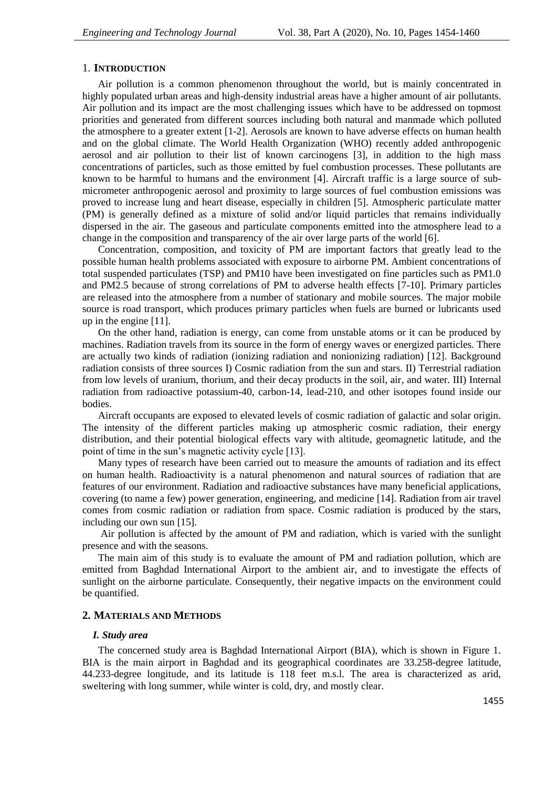# 1. **INTRODUCTION**

Air pollution is a common phenomenon throughout the world, but is mainly concentrated in highly populated urban areas and high-density industrial areas have a higher amount of air pollutants. Air pollution and its impact are the most challenging issues which have to be addressed on topmost priorities and generated from different sources including both natural and manmade which polluted the atmosphere to a greater extent [1-2]. Aerosols are known to have adverse effects on human health and on the global climate. The World Health Organization (WHO) recently added anthropogenic aerosol and air pollution to their list of known carcinogens [3], in addition to the high mass concentrations of particles, such as those emitted by fuel combustion processes. These pollutants are known to be harmful to humans and the environment [4]. Aircraft traffic is a large source of submicrometer anthropogenic aerosol and proximity to large sources of fuel combustion emissions was proved to increase lung and heart disease, especially in children [5]. Atmospheric particulate matter (PM) is generally defined as a mixture of solid and/or liquid particles that remains individually dispersed in the air. The gaseous and particulate components emitted into the atmosphere lead to a change in the composition and transparency of the air over large parts of the world [6].

Concentration, composition, and toxicity of PM are important factors that greatly lead to the possible human health problems associated with exposure to airborne PM. Ambient concentrations of total suspended particulates (TSP) and PM10 have been investigated on fine particles such as PM1.0 and PM2.5 because of strong correlations of PM to adverse health effects [7-10]. Primary particles are released into the atmosphere from a number of stationary and mobile sources. The major mobile source is road transport, which produces primary particles when fuels are burned or lubricants used up in the engine [11].

On the other hand, radiation is energy, can come from unstable atoms or it can be produced by machines. Radiation travels from its source in the form of energy waves or energized particles. There are actually two kinds of radiation (ionizing radiation and nonionizing radiation) [12]. Background radiation consists of three sources I) Cosmic radiation from the sun and stars. II) Terrestrial radiation from low levels of uranium, thorium, and their decay products in the soil, air, and water. III) Internal radiation from radioactive potassium-40, carbon-14, lead-210, and other isotopes found inside our bodies.

Aircraft occupants are exposed to elevated levels of cosmic radiation of galactic and solar origin. The intensity of the different particles making up atmospheric cosmic radiation, their energy distribution, and their potential biological effects vary with altitude, geomagnetic latitude, and the point of time in the sun's magnetic activity cycle [13].

Many types of research have been carried out to measure the amounts of radiation and its effect on human health. Radioactivity is a natural phenomenon and natural sources of radiation that are features of our environment. Radiation and radioactive substances have many beneficial applications, covering (to name a few) power generation, engineering, and medicine [14]. Radiation from air travel comes from cosmic radiation or radiation from space. Cosmic radiation is produced by the stars, including our own sun [15].

Air pollution is affected by the amount of PM and radiation, which is varied with the sunlight presence and with the seasons.

The main aim of this study is to evaluate the amount of PM and radiation pollution, which are emitted from Baghdad International Airport to the ambient air, and to investigate the effects of sunlight on the airborne particulate. Consequently, their negative impacts on the environment could be quantified.

## **2. MATERIALS AND METHODS**

### *I. Study area*

The concerned study area is Baghdad International Airport (BIA), which is shown in Figure 1. BIA is the main airport in Baghdad and its geographical coordinates are 33.258-degree latitude, 44.233-degree longitude, and its latitude is 118 feet m.s.l. The area is characterized as arid, sweltering with long summer, while winter is cold, dry, and mostly clear.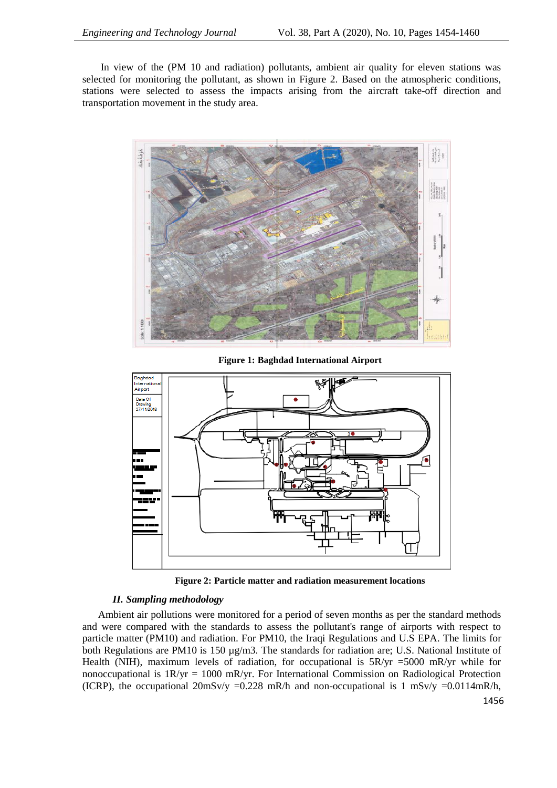In view of the (PM 10 and radiation) pollutants, ambient air quality for eleven stations was selected for monitoring the pollutant, as shown in Figure 2. Based on the atmospheric conditions, stations were selected to assess the impacts arising from the aircraft take-off direction and transportation movement in the study area.



**Figure 1: Baghdad International Airport**



**Figure 2: Particle matter and radiation measurement locations**

# *II. Sampling methodology*

Ambient air pollutions were monitored for a period of seven months as per the standard methods and were compared with the standards to assess the pollutant's range of airports with respect to particle matter (PM10) and radiation. For PM10, the Iraqi Regulations and U.S EPA. The limits for both Regulations are PM10 is 150 µg/m3. The standards for radiation are; U.S. National Institute of Health (NIH), maximum levels of radiation, for occupational is  $5R/yr = 5000$  mR/yr while for nonoccupational is 1R/yr = 1000 mR/yr. For International Commission on Radiological Protection (ICRP), the occupational  $20\text{mSv/y} = 0.228 \text{ mR/h}$  and non-occupational is 1 mSv/y = 0.0114mR/h,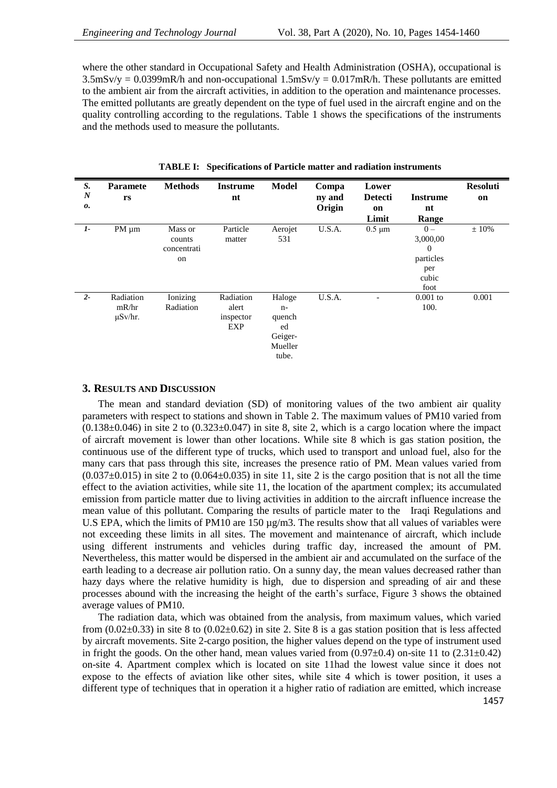where the other standard in Occupational Safety and Health Administration (OSHA), occupational is  $3.5$ mSv/y = 0.0399mR/h and non-occupational  $1.5$ mSv/y = 0.017mR/h. These pollutants are emitted to the ambient air from the aircraft activities, in addition to the operation and maintenance processes. The emitted pollutants are greatly dependent on the type of fuel used in the aircraft engine and on the quality controlling according to the regulations. Table 1 shows the specifications of the instruments and the methods used to measure the pollutants.

| S.               | <b>Paramete</b>                    | <b>Methods</b>                         | <b>Instrume</b>                        | <b>Model</b>                                                  | Compa  | Lower          |                                                                          | <b>Resoluti</b> |
|------------------|------------------------------------|----------------------------------------|----------------------------------------|---------------------------------------------------------------|--------|----------------|--------------------------------------------------------------------------|-----------------|
| $\boldsymbol{N}$ | rs                                 |                                        | nt                                     |                                                               | ny and | <b>Detecti</b> | <b>Instrume</b>                                                          | on              |
| о.               |                                    |                                        |                                        |                                                               | Origin | on             | nt                                                                       |                 |
|                  |                                    |                                        |                                        |                                                               |        | Limit          | Range                                                                    |                 |
| $1-$             | $PM \mu m$                         | Mass or<br>counts<br>concentrati<br>on | Particle<br>matter                     | Aerojet<br>531                                                | U.S.A. | $0.5 \mu m$    | $0 -$<br>3,000,00<br>$\overline{0}$<br>particles<br>per<br>cubic<br>foot | $±10\%$         |
| $2 -$            | Radiation<br>mR/hr<br>$\mu$ Sv/hr. | Ionizing<br>Radiation                  | Radiation<br>alert<br>inspector<br>EXP | Haloge<br>$n-$<br>quench<br>ed<br>Geiger-<br>Mueller<br>tube. | U.S.A. |                | $0.001$ to<br>100.                                                       | 0.001           |

**TABLE I: Specifications of Particle matter and radiation instruments**

# **3. RESULTS AND DISCUSSION**

The mean and standard deviation (SD) of monitoring values of the two ambient air quality parameters with respect to stations and shown in Table 2. The maximum values of PM10 varied from  $(0.138\pm0.046)$  in site 2 to  $(0.323\pm0.047)$  in site 8, site 2, which is a cargo location where the impact of aircraft movement is lower than other locations. While site 8 which is gas station position, the continuous use of the different type of trucks, which used to transport and unload fuel, also for the many cars that pass through this site, increases the presence ratio of PM. Mean values varied from  $(0.037\pm0.015)$  in site 2 to  $(0.064\pm0.035)$  in site 11, site 2 is the cargo position that is not all the time effect to the aviation activities, while site 11, the location of the apartment complex; its accumulated emission from particle matter due to living activities in addition to the aircraft influence increase the mean value of this pollutant. Comparing the results of particle mater to the Iraqi Regulations and U.S EPA, which the limits of PM10 are  $150 \mu g/m3$ . The results show that all values of variables were not exceeding these limits in all sites. The movement and maintenance of aircraft, which include using different instruments and vehicles during traffic day, increased the amount of PM. Nevertheless, this matter would be dispersed in the ambient air and accumulated on the surface of the earth leading to a decrease air pollution ratio. On a sunny day, the mean values decreased rather than hazy days where the relative humidity is high, due to dispersion and spreading of air and these processes abound with the increasing the height of the earth's surface, Figure 3 shows the obtained average values of PM10.

The radiation data, which was obtained from the analysis, from maximum values, which varied from  $(0.02\pm0.33)$  in site 8 to  $(0.02\pm0.62)$  in site 2. Site 8 is a gas station position that is less affected by aircraft movements. Site 2-cargo position, the higher values depend on the type of instrument used in fright the goods. On the other hand, mean values varied from  $(0.97\pm0.4)$  on-site 11 to  $(2.31\pm0.42)$ on-site 4. Apartment complex which is located on site 11had the lowest value since it does not expose to the effects of aviation like other sites, while site 4 which is tower position, it uses a different type of techniques that in operation it a higher ratio of radiation are emitted, which increase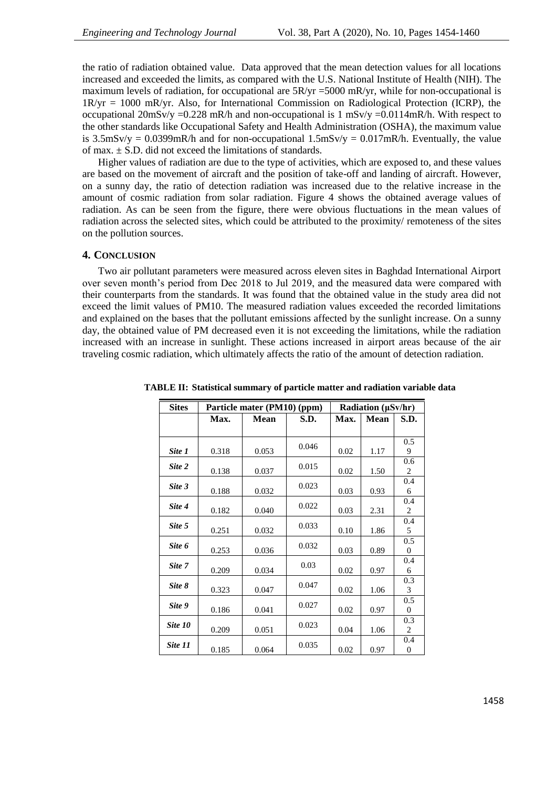the ratio of radiation obtained value. Data approved that the mean detection values for all locations increased and exceeded the limits, as compared with the U.S. National Institute of Health (NIH). The maximum levels of radiation, for occupational are  $5R/yr = 5000$  mR/yr, while for non-occupational is 1R/yr = 1000 mR/yr. Also, for International Commission on Radiological Protection (ICRP), the occupational  $20 \text{mSv/y} = 0.228 \text{ mR/h}$  and non-occupational is 1 mSv/y = 0.0114mR/h. With respect to the other standards like Occupational Safety and Health Administration (OSHA), the maximum value is 3.5mSv/y =  $0.0399$ mR/h and for non-occupational 1.5mSv/y =  $0.017$ mR/h. Eventually, the value of max.  $\pm$  S.D. did not exceed the limitations of standards.

Higher values of radiation are due to the type of activities, which are exposed to, and these values are based on the movement of aircraft and the position of take-off and landing of aircraft. However, on a sunny day, the ratio of detection radiation was increased due to the relative increase in the amount of cosmic radiation from solar radiation. Figure 4 shows the obtained average values of radiation. As can be seen from the figure, there were obvious fluctuations in the mean values of radiation across the selected sites, which could be attributed to the proximity/ remoteness of the sites on the pollution sources.

# **4. CONCLUSION**

Two air pollutant parameters were measured across eleven sites in Baghdad International Airport over seven month's period from Dec 2018 to Jul 2019, and the measured data were compared with their counterparts from the standards. It was found that the obtained value in the study area did not exceed the limit values of PM10. The measured radiation values exceeded the recorded limitations and explained on the bases that the pollutant emissions affected by the sunlight increase. On a sunny day, the obtained value of PM decreased even it is not exceeding the limitations, while the radiation increased with an increase in sunlight. These actions increased in airport areas because of the air traveling cosmic radiation, which ultimately affects the ratio of the amount of detection radiation.

| <b>Sites</b> |       | Particle mater (PM10) (ppm) | Radiation (µSv/hr) |      |             |                         |
|--------------|-------|-----------------------------|--------------------|------|-------------|-------------------------|
|              | Max.  | <b>Mean</b>                 | S.D.               | Max. | <b>Mean</b> | S.D.                    |
|              |       |                             |                    |      |             |                         |
|              |       |                             | 0.046              |      |             | 0.5                     |
| Site 1       | 0.318 | 0.053                       |                    | 0.02 | 1.17        | 9                       |
| Site 2       | 0.138 | 0.037                       | 0.015              | 0.02 | 1.50        | 0.6<br>2                |
|              |       |                             |                    |      |             | 0.4                     |
| Site 3       | 0.188 | 0.032                       | 0.023              | 0.03 | 0.93        | 6                       |
| Site 4       |       |                             | 0.022              |      |             | 0.4                     |
|              | 0.182 | 0.040                       |                    | 0.03 | 2.31        | $\overline{2}$          |
| Site 5       |       |                             | 0.033              |      |             | 0.4                     |
|              | 0.251 | 0.032                       |                    | 0.10 | 1.86        | 5                       |
| Site 6       |       |                             | 0.032              |      |             | 0.5                     |
|              | 0.253 | 0.036                       |                    | 0.03 | 0.89        | $\overline{0}$          |
| Site 7       | 0.209 | 0.034                       | 0.03               | 0.02 | 0.97        | 0.4<br>6                |
|              |       |                             |                    |      |             | 0.3                     |
| Site 8       | 0.323 | 0.047                       | 0.047              | 0.02 | 1.06        | 3                       |
| Site 9       |       |                             | 0.027              |      |             | 0.5                     |
|              | 0.186 | 0.041                       |                    | 0.02 | 0.97        | $\overline{0}$          |
| Site 10      |       |                             | 0.023              |      |             | 0.3                     |
|              | 0.209 | 0.051                       |                    | 0.04 | 1.06        | 2                       |
| Site 11      | 0.185 | 0.064                       | 0.035              | 0.02 | 0.97        | 0.4<br>$\boldsymbol{0}$ |

**TABLE II: Statistical summary of particle matter and radiation variable data**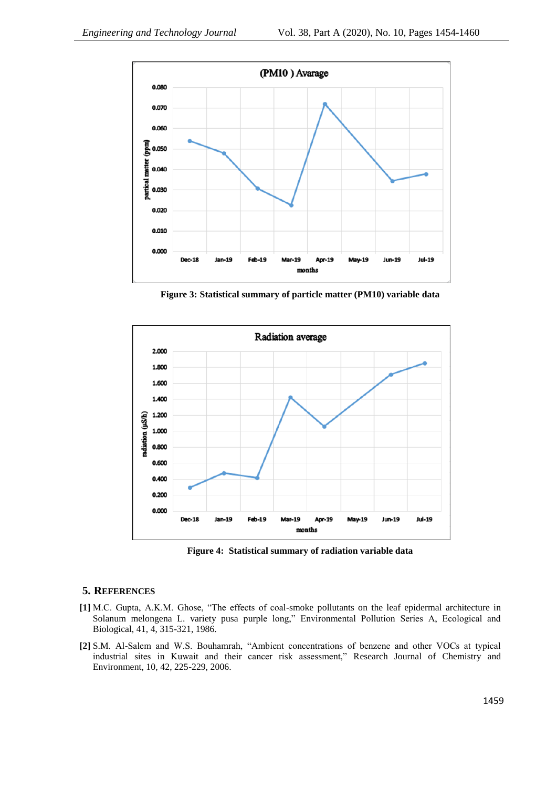

**Figure 3: Statistical summary of particle matter (PM10) variable data**



**Figure 4: Statistical summary of radiation variable data**

# **5. REFERENCES**

- **[1]** M.C. Gupta, A.K.M. Ghose, "The effects of coal-smoke pollutants on the leaf epidermal architecture in Solanum melongena L. variety pusa purple long," Environmental Pollution Series A, Ecological and Biological, 41, 4, 315-321, 1986.
- **[2]** S.M. Al-Salem and W.S. Bouhamrah, "Ambient concentrations of benzene and other VOCs at typical industrial sites in Kuwait and their cancer risk assessment," Research Journal of Chemistry and Environment, 10, 42, 225-229, 2006.